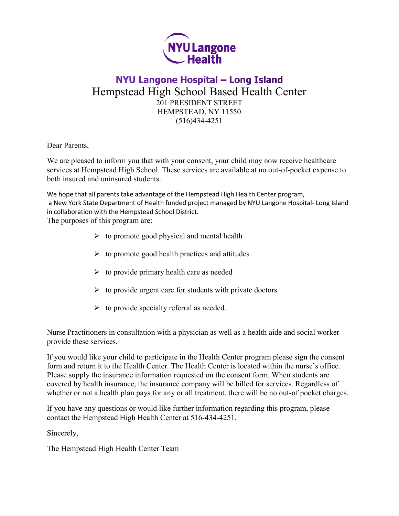

## NYU Langone Hospital - Long Island Hempstead High School Based Health Center 201 PRESIDENT STREET HEMPSTEAD, NY 11550 (516)434-4251

Dear Parents,

We are pleased to inform you that with your consent, your child may now receive healthcare services at Hempstead High School. These services are available at no out-of-pocket expense to both insured and uninsured students.

We hope that all parents take advantage of the Hempstead High Health Center program, a New York State Department of Health funded project managed by NYU Langone Hospital- Long Island in collaboration with the Hempstead School District.

The purposes of this program are:

- $\triangleright$  to promote good physical and mental health
- $\triangleright$  to promote good health practices and attitudes
- $\triangleright$  to provide primary health care as needed
- $\triangleright$  to provide urgent care for students with private doctors
- $\triangleright$  to provide specialty referral as needed.

Nurse Practitioners in consultation with a physician as well as a health aide and social worker provide these services.

If you would like your child to participate in the Health Center program please sign the consent form and return it to the Health Center. The Health Center is located within the nurse's office. Please supply the insurance information requested on the consent form. When students are covered by health insurance, the insurance company will be billed for services. Regardless of whether or not a health plan pays for any or all treatment, there will be no out-of pocket charges.

If you have any questions or would like further information regarding this program, please contact the Hempstead High Health Center at 516-434-4251.

Sincerely,

The Hempstead High Health Center Team